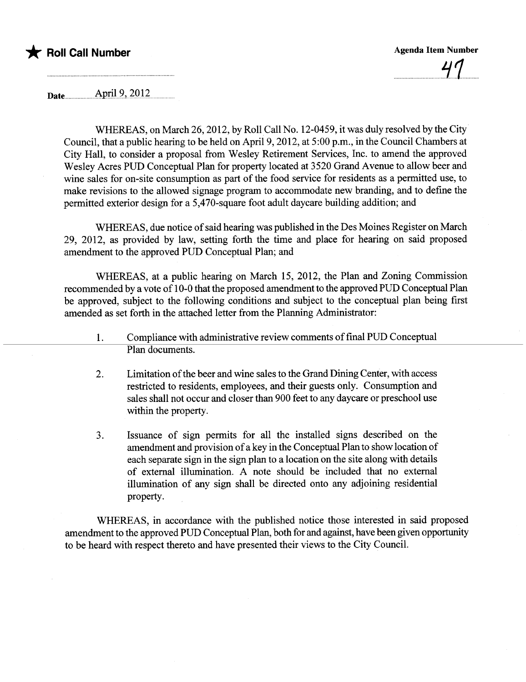

Date...u .u.Ap.i.l.2".~QJ~

WHEREAS, on March 26,2012, by Roll Call No. 12-0459, it was duly resolved by the City Council, that a public hearing to be held on April 9, 2012, at 5:00 p.m., in the Council Chambers at City Hall, to consider a proposal from Wesley Retirement Services, Inc. to amend the approved Wesley Acres PUD Conceptual Plan for property located at 3520 Grand Avenue to allow beer and wine sales for on-site consumption as part of the food service for residents as a permitted use, to make revisions to the allowed signage program to accommodate new branding, and to define the permitted exterior design for a 5,470-square foot adult daycare building addition; and

WHEREAS, due notice of said hearing was published in the Des Moines Register on March 29, 2012, as provided by law, setting forth the time and place for hearng on said proposed amendment to the approved PUD Conceptual Plan; and

WHEREAS, at a public hearing on March 15, 2012, the Plan and Zoning Commission recommended by a vote of 10-0 that the proposed amendment to the approved PUD Conceptual Plan be approved, subject to the following conditions and subject to the conceptual plan being first amended as set forth in the attached letter from the Planing Administrator:

- 1. Compliance with administrative review comments of final PUD Conceptual Plan documents.
- 2. Limitation of the beer and wine sales to the Grand Dining Center, with access restricted to residents, employees, and their guests only. Consumption and sales shall not occur and closer than 900 feet to any daycare or preschool use within the property.
- 3. Issuance of sign permits for all the installed signs described on the amendment and provision of a key in the Conceptual Plan to show location of each separate sign in the sign plan to a location on the site along with details of external ilumination. A note should be included that no external ilumination of any sign shall be directed onto any adjoining residential property.

WHEREAS, in accordance with the published notice those interested in said proposed amendment to the approved PUD Conceptual Plan, both for and against, have been given opportunity to be heard with respect thereto and have presented their views to the City CounciL.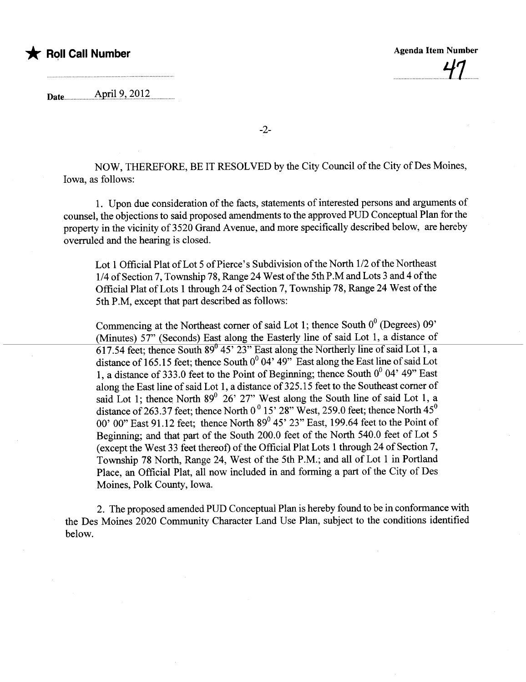### \* Roll Call Number Agenda Item Number Agenda Item Number

Date.......................Apr.iJ2,,~QJ~

NOW, THEREFORE, BE IT RESOLVED by the City Council of the City of Des Moines, Iowa, as follows:

1. Upon due consideration of the facts, statements of interested persons and arguments of counsel, the objections to said proposed amendments to the approved PUD Conceptual Plan for the property in the vicinity of 3520 Grand Avenue, and more specifically described below, are hereby overruled and the hearing is closed.

Lot 1 Official Plat of Lot 5 of Pierce's Subdivision of the North 1/2 of the Northeast 1/4 of Section 7, Township 78, Range 24 West of the 5th P.M and Lots 3 and 4 of the Official Plat of Lots 1 through 24 of Section 7, Township 78, Range 24 West of the 5th P.M, except that part described as follows:

Commencing at the Northeast corner of said Lot 1; thence South  $0^0$  (Degrees)  $09'$ (Minutes) 57" (Seconds) East along the Easterly line of said Lot 1, a distance of  $617.54$  feet; thence South  $89^{\circ}$  45' 23" East along the Northerly line of said Lot 1, a distance of 165.15 feet; thence South  $0^0$  04' 49" East along the East line of said Lot 1, a distance of 333.0 feet to the Point of Beginning; thence South  $0^0$  04' 49" East along the East line of said Lot 1, a distance of 325.15 feet to the Southeast corner of said Lot 1; thence North  $89^{\circ}$  26' 27" West along the South line of said Lot 1, a distance of 263.37 feet; thence North  $0^0$  15' 28" West, 259.0 feet; thence North  $45^0$ 00' 00" East 91.12 feet; thence North  $89^{\circ}$  45' 23" East, 199.64 feet to the Point of Beginning; and that part of the South 200.0 feet of the North 540.0 feet of Lot 5 (except the West 33 feet thereof) of the Official Plat Lots 1 though 24 of Section 7, Township 78 North, Range 24, West of the 5th P.M.; and all of Lot 1 in Portland Place, an Official Plat, all now included in and forming a part of the City of Des Moines, Polk County, Iowa.

2. The proposed amended PUD Conceptual Plan is hereby found to be in conformance with the Des Moines 2020 Community Character Land Use Plan, subject to the conditions identified below.

-2-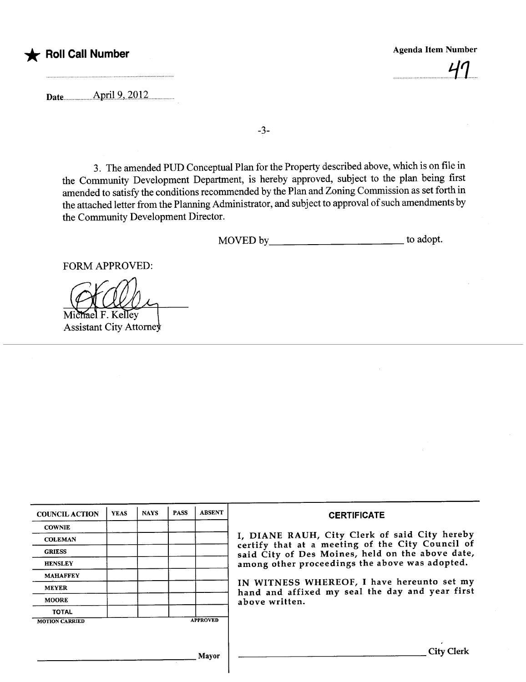## \* Roll Call Number Agenda Item Number Agenda Item Number

 $41$ 

Date..April9..2'Ol2.........

-3-

3. The amended PUD Conceptual Plan for the Property described above, which is on file in the Community Development Deparment, is hereby approved, subject to the plan being first amended to satisfy the conditions recommended by the Plan and Zoning Commission as set forth in the attached letter from the Planning Administrator, and subject to approval of such amendments by the Community Development Director.

MOVED by\_\_\_\_\_\_\_\_\_\_\_\_\_\_\_\_\_\_\_\_\_\_\_\_\_\_\_\_\_\_\_\_\_\_\_ to adopt.

FORM APPROVED:

Michael F. Kelley Assistant City Attorney

| <b>COUNCIL ACTION</b> | <b>YEAS</b> | <b>NAYS</b> | <b>PASS</b> | <b>ABSENT</b>   | <b>CERTIFICATE</b>                                                                                |  |  |  |
|-----------------------|-------------|-------------|-------------|-----------------|---------------------------------------------------------------------------------------------------|--|--|--|
| <b>COWNIE</b>         |             |             |             |                 |                                                                                                   |  |  |  |
| <b>COLEMAN</b>        |             |             |             |                 | I, DIANE RAUH, City Clerk of said City hereby<br>certify that at a meeting of the City Council of |  |  |  |
| <b>GRIESS</b>         |             |             |             |                 | said City of Des Moines, held on the above date,                                                  |  |  |  |
| <b>HENSLEY</b>        |             |             |             |                 | among other proceedings the above was adopted.                                                    |  |  |  |
| <b>MAHAFFEY</b>       |             |             |             |                 |                                                                                                   |  |  |  |
| <b>MEYER</b>          |             |             |             |                 | IN WITNESS WHEREOF, I have hereunto set my<br>hand and affixed my seal the day and year first     |  |  |  |
| <b>MOORE</b>          |             |             |             |                 | above written.                                                                                    |  |  |  |
| <b>TOTAL</b>          |             |             |             |                 |                                                                                                   |  |  |  |
| <b>MOTION CARRIED</b> |             |             |             | <b>APPROVED</b> |                                                                                                   |  |  |  |
|                       |             |             |             |                 |                                                                                                   |  |  |  |
|                       |             |             |             |                 |                                                                                                   |  |  |  |
| Mayor                 |             |             |             |                 | <b>City Clerk</b>                                                                                 |  |  |  |
|                       |             |             |             |                 |                                                                                                   |  |  |  |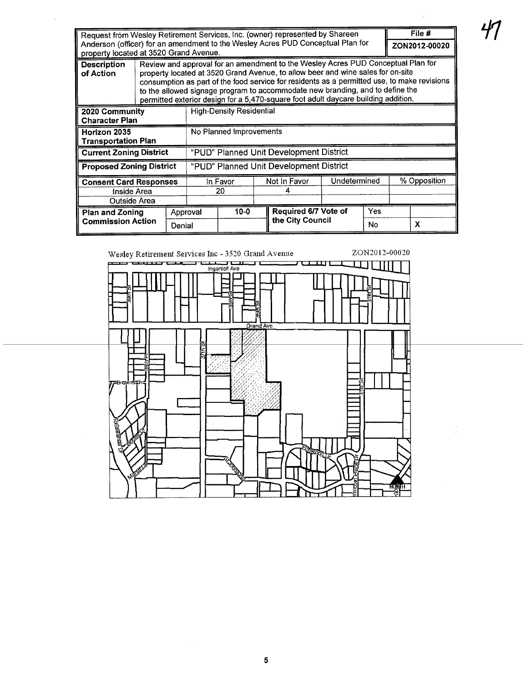| Request from Wesley Retirement Services, Inc. (owner) represented by Shareen<br>Anderson (officer) for an amendment to the Wesley Acres PUD Conceptual Plan for<br>property located at 3520 Grand Avenue. |                                                                                                                                                                                                                                                                                                                                                                                                                                           |                |                                         |        |              |                                          |  | File #<br>ZON2012-00020 |  |   |
|-----------------------------------------------------------------------------------------------------------------------------------------------------------------------------------------------------------|-------------------------------------------------------------------------------------------------------------------------------------------------------------------------------------------------------------------------------------------------------------------------------------------------------------------------------------------------------------------------------------------------------------------------------------------|----------------|-----------------------------------------|--------|--------------|------------------------------------------|--|-------------------------|--|---|
| <b>Description</b><br>of Action                                                                                                                                                                           | Review and approval for an amendment to the Wesley Acres PUD Conceptual Plan for<br>property located at 3520 Grand Avenue, to allow beer and wine sales for on-site<br>consumption as part of the food service for residents as a permitted use, to make revisions<br>to the allowed signage program to accommodate new branding, and to define the<br>permitted exterior design for a 5,470-square foot adult daycare building addition. |                |                                         |        |              |                                          |  |                         |  |   |
| 2020 Community<br><b>Character Plan</b>                                                                                                                                                                   |                                                                                                                                                                                                                                                                                                                                                                                                                                           |                | <b>High-Density Residential</b>         |        |              |                                          |  |                         |  |   |
| Horizon 2035<br><b>Transportation Plan</b>                                                                                                                                                                |                                                                                                                                                                                                                                                                                                                                                                                                                                           |                | No Planned Improvements                 |        |              |                                          |  |                         |  |   |
| <b>Current Zoning District</b>                                                                                                                                                                            |                                                                                                                                                                                                                                                                                                                                                                                                                                           |                | "PUD" Planned Unit Development District |        |              |                                          |  |                         |  |   |
| <b>Proposed Zoning District</b>                                                                                                                                                                           |                                                                                                                                                                                                                                                                                                                                                                                                                                           |                | "PUD" Planned Unit Development District |        |              |                                          |  |                         |  |   |
| <b>Consent Card Responses</b><br>Inside Area<br>Outside Area                                                                                                                                              |                                                                                                                                                                                                                                                                                                                                                                                                                                           | In Favor<br>20 |                                         |        | Not In Favor | Undetermined                             |  | % Opposition            |  |   |
| <b>Plan and Zoning</b><br><b>Commission Action</b>                                                                                                                                                        | Approval<br>Denial                                                                                                                                                                                                                                                                                                                                                                                                                        |                |                                         | $10-0$ |              | Required 6/7 Vote of<br>the City Council |  | Yes<br>No               |  | X |

 $\bar{\mathbf{v}}$ 



ヸ

 $\bar{z}$ 

 $\sim$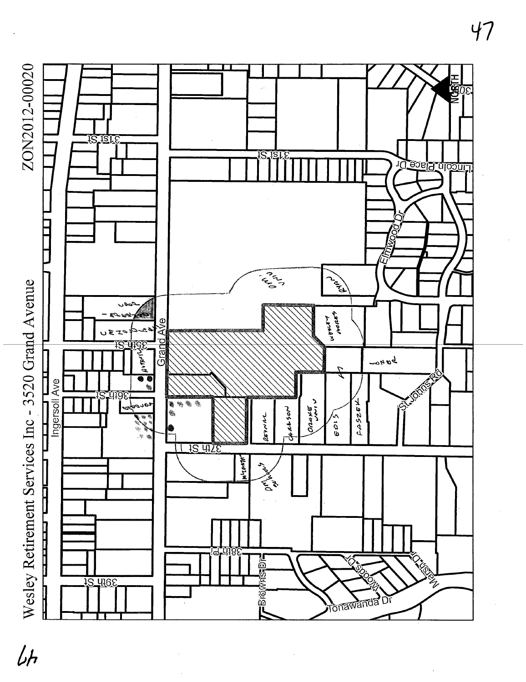

# $\sqrt{h}$

47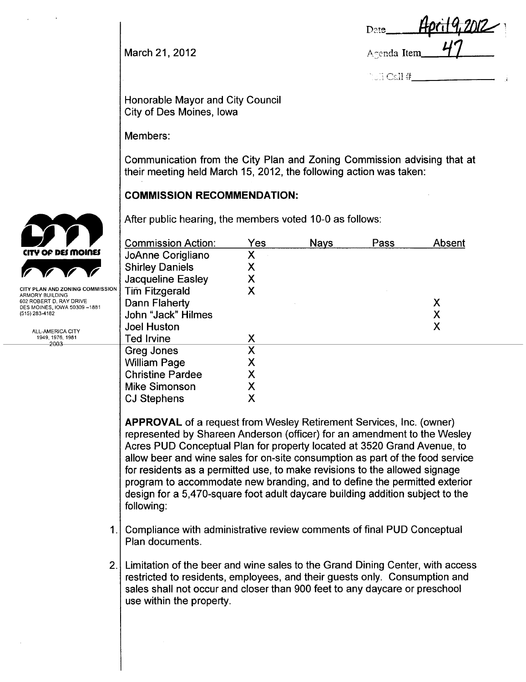Date. March 21, 2012  $\overline{41}$ 

 $\text{Call }#$ 

Honorable Mayor and City Council City of Des Moines, Iowa

Members:

Communication from the City Plan and Zoning Commission advising that at their meeting held March 15, 2012, the following action was taken:

#### COMMISSION RECOMMENDATION:

After public hearing, the members voted 10-0 as follows:

| <b>Commission Action:</b> | Yes | <b>Nays</b> | Pass | Absent |
|---------------------------|-----|-------------|------|--------|
| JoAnne Corigliano         | Χ   |             |      |        |
| <b>Shirley Daniels</b>    | Χ   |             |      |        |
| <b>Jacqueline Easley</b>  | Χ   |             |      |        |
| <b>Tim Fitzgerald</b>     | Χ   |             |      |        |
| Dann Flaherty             |     |             |      | Χ      |
| John "Jack" Hilmes        |     |             |      | Χ      |
| <b>Joel Huston</b>        |     |             |      | Χ      |
| <b>Ted Irvine</b>         | Χ   |             |      |        |
| Greg Jones                | Χ   |             |      |        |
| <b>William Page</b>       | Χ   |             |      |        |
| <b>Christine Pardee</b>   | Χ   |             |      |        |
| <b>Mike Simonson</b>      |     |             |      |        |
| <b>CJ Stephens</b>        |     |             |      |        |

APPROVAL of a request from Wesley Retirement Services, Inc. (owner) represented by Shareen Anderson (officer) for an amendment to the Wesley Acres PUD Conceptual Plan for property located at 3520 Grand Avenue, to allow beer and wine sales for on-site consumption as part of the food service for residents as a permitted use, to make revisions to the allowed signage program to accommodate new branding, and to define the permitted exterior design for a 5,470-square foot adult daycare building addition subject to the following:

- 1. Compliance with administrative review comments of final PUD Conceptual Plan documents.
- 2. Limitation of the beer and wine sales to the Grand Dining Center, with access restricted to residents, employees, and their guests only. Consumption and sales shall not occur and closer than 900 feet to any daycare or preschool use within the property.



**CITY PLAN AND ZONING COMMISSIO** ARMORY BUILDING 602 ROBERT D, RAY DRIVE DES MOINES, IOWA 50309 -1881 (515) 283-4182

> ALL-AMERICA CITY 1949,1976,1981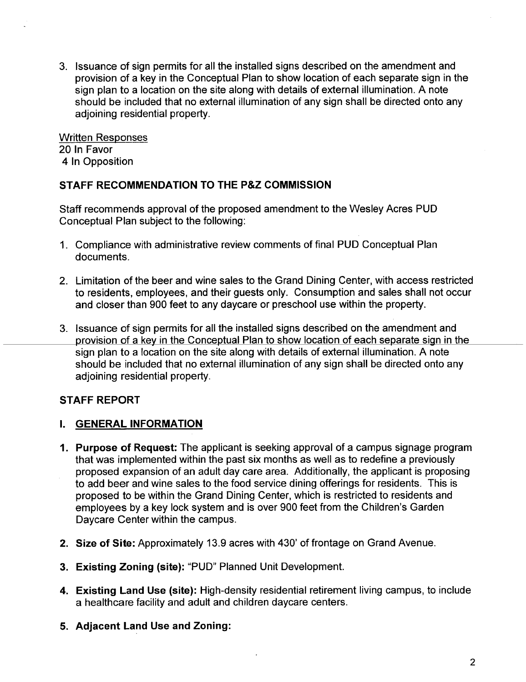3. Issuance of sign permits for all the installed signs described on the amendment and provision of a key in the Conceptual Plan to show location of each separate sign in the sign plan to a location on the site along with details of external illumination. A note should be included that no external illumination of any sign shall be directed onto any adioining residential property.

Written Responses 20 In Favor 4 In Opposition

#### STAFF RECOMMENDATION TO THE P&Z COMMISSION

Staff recommends approval of the proposed amendment to the Wesley Acres PUD Conceptual Plan subject to the following:

- 1. Compliance with administrative review comments of final PUD Conceptual Plan documents.
- 2. Limitation of the beer and wine sales to the Grand Dining Center, with access restricted to residents, employees, and their guests only. Consumption and sales shall not occur and closer than 900 feet to any daycare or preschool use within the property.
- 3. Issuance of sign permits for all the installed signs described on the amendment and provision of a key in the Conceptual Plan to show location of each separate sign in the sign plan to a location on the site along with details of external illumination. A note should be included that no external illumination of any sign shall be directed onto any adjoining residential property.

#### STAFF REPORT

#### i. GENERAL INFORMATION

- 1. Purpose of Request: The applicant is seeking approval of a campus signage program that was implemented within the past six months as well as to redefine a previously proposed expansion of an adult day care area. Additionally, the applicant is proposing to add beer and wine sales to the food service dining offerings for residents. This is proposed to be within the Grand Dining Center, which is restricted to residents and employees by a key lock system and is over 900 feet from the Children's Garden Daycare Center within the campus.
- 2. Size of Site: Approximately 13.9 acres with 430' of frontage on Grand Avenue.
- 3. Existing Zoning (site): "PUD" Planned Unit Development.
- 4. Existing Land Use (site): High-density residential retirement living campus, to include a healthcare facility and adult and children daycare centers.
- 5. Adjacent Land Use and Zoning: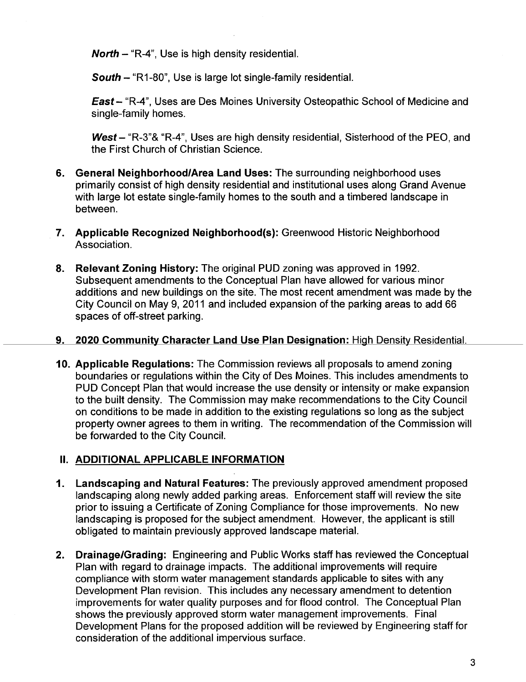**North - "R-4", Use is high density residential.** 

South - "R1-80", Use is large lot single-family residential.

East - "R-4", Uses are Des Moines University Osteopathic School of Medicine and single-family homes.

West  $-$  "R-3"& "R-4", Uses are high density residential, Sisterhood of the PEO, and the First Church of Christian Science.

- 6. General Neighborhood/Area Land Uses: The surrounding neighborhood uses primarily consist of high density residential and institutional uses along Grand Avenue with large lot estate single-family homes to the south and a timbered landscape in between.
- 7. Applicable Recognized Neighborhood(s): Greenwood Historic Neighborhood Association.
- 8. Relevant Zoning History: The original PUD zoning was approved in 1992. Subsequent amendments to the Conceptual Plan have allowed for various minor additions and new buildings on the site. The most recent amendment was made by the City Council on May 9, 2011 and included expansion of the parking areas to add 66 spaces of off-street parking.
- 9. 2020 Community Character Land Use Plan Designation: High Density Residential.
- 10. Applicable Regulations: The Commission reviews all proposals to amend zoning boundaries or regulations within the City of Des Moines. This includes amendments to PUD Concept Plan that would increase the use density or intensity or make expansion to the built density. The Commission may make recommendations to the City Council on conditions to be made in addition to the existing regulations so long as the subject property owner agrees to them in writing. The recommendation of the Commission wil be forwarded to the City Council.

#### II. ADDITIONAL APPLICABLE INFORMATION

- 1. Landscaping and Natural Features: The previously approved amendment proposed landscaping along newly added parking areas. Enforcement staff will review the site prior to issuing a Certificate of Zoning Compliance for those improvements. No new landscaping is proposed for the subject amendment. However, the applicant is still obligated to maintain previously approved landscape materiaL.
- 2. Drainage/Grading: Engineering and Public Works staff has reviewed the Conceptual Plan with regard to drainage impacts. The additional improvements will require compliance with storm water management standards applicable to sites with any Development Plan revision. This includes any necessary amendment to detention improvements for water quality purposes and for flood control. The Conceptual Plan shows the previously approved storm water management improvements. Final Development Plans for the proposed addition will be reviewed by Engineering staff for consideration of the additional impervious surface.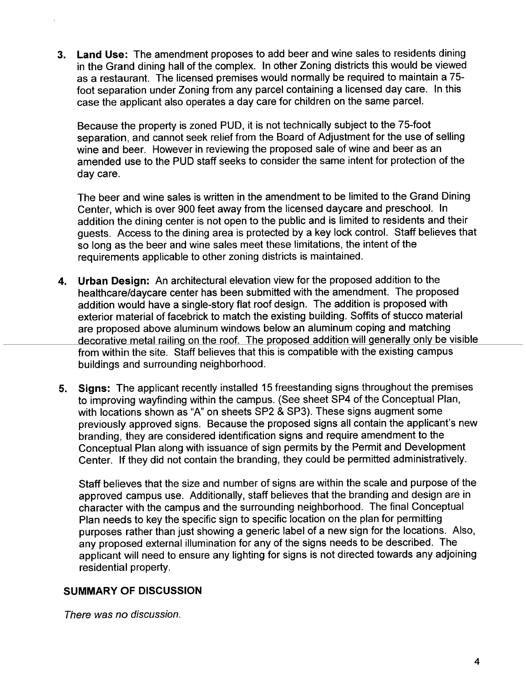3. Land Use: The amendment proposes to add beer and wine sales to residents dining in the Grand dining hall of the complex. In other Zoning districts this would be viewed as a restaurant. The licensed premises would normally be required to maintain a 75 foot separation under Zoning from any parcel containing a licensed day care. In this case the applicant also operates a day care for children on the same parceL.

Because the property is zoned PUD, it is not technically subject to the 75-foot separation, and cannot seek relief from the Board of Adjustment for the use of selling wine and beer. However in reviewing the proposed sale of wine and beer as an amended use to the PUD staff seeks to consider the same intent for protection of the day care.

The beer and wine sales is written in the amendment to be limited to the Grand Dining Center, which is over 900 feet away from the licensed daycare and preschool. In addition the dining center is not open to the public and is limited to residents and their guests. Access to the dining area is protected by a key lock control. Staff believes that so long as the beer and wine sales meet these limitations, the intent of the requirements applicable to other zoning districts is maintained.

- 4. Urban Design: An architectural elevation view for the proposed addition to the healthcare/daycare center has been submitted with the amendment. The proposed addition would have a single-story flat roof design. The addition is proposed with exterior material of facebrick to match the existing building. Soffits of stucco material are proposed above aluminum windows below an aluminum coping and matching decorative metal railing on the roof. The proposed addition will generally only be visible from within the site. Staff believes that this is compatible with the existing campus buildings and surrounding neighborhood.
- 5. Signs: The applicant recently installed 15 freestanding signs throughout the premises to improving wayfinding within the campus. (See sheet SP4 of the Conceptual Plan, with locations shown as "A" on sheets SP2 & SP3). These signs augment some previously approved signs. Because the proposed signs all contain the applicant's new branding, they are considered identification signs and require amendment to the Conceptual Plan along with issuance of sign permits by the Permit and Development Center. If they did not contain the branding, they could be permitted administratively.

Staff believes that the size and number of signs are within the scale and purpose of the approved campus use. Additionally, staff believes that the branding and design are in character with the campus and the surrounding neighborhood. The final Conceptual Plan needs to key the specific sign to specific location on the plan for permitting purposes rather than just showing a generic label of a new sign for the locations. Also, any proposed external illumination for any of the signs needs to be described. The applicant will need to ensure any lighting for signs is not directed towards any adjoining residential property.

#### SUMMARY OF DISCUSSION

There was no discussion.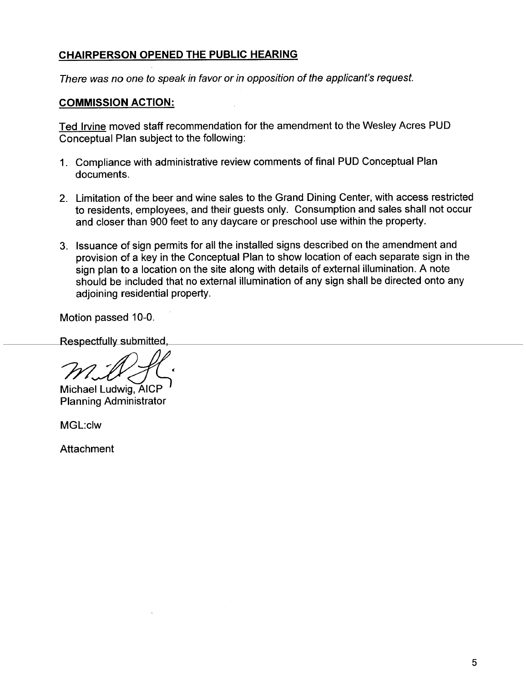#### CHAIRPERSON OPENED THE PUBLIC HEARING

There was no one to speak in favor or in opposition of the applicant's request.

#### COMMISSION ACTION:

Ted Irvine moved staff recommendation for the amendment to the Wesley Acres PUD Conceptual Plan subject to the following:

- 1. Compliance with administrative review comments of final PUD Conceptual Plan documents.
- 2. Limitation of the beer and wine sales to the Grand Dining Center, with access restricted to residents, employees, and their guests only. Consumption and sales shall not occur and closer than 900 feet to any daycare or preschool use within the property.
- 3. Issuance of sign permits for all the installed signs described on the amendment and provision of a key in the Conceptual Plan to show location of each separate sign in the sign plan to a location on the site along with details of external illumination. A note should be included that no external illumination of any sign shall be directed onto any adjoining residential property.

Motion passed 10-0.

Respectfully submitted,

Michael Ludwig, AICP Planning Administrator

MGL:clw

**Attachment**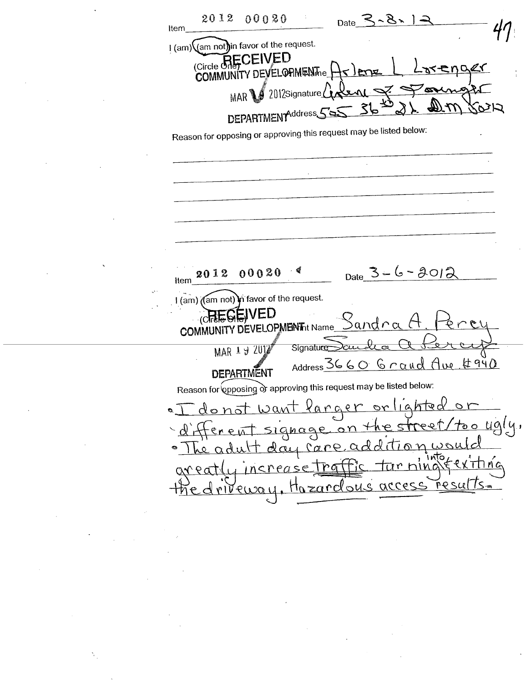2012 00020 へろい Date Item I (am) (am not) in favor of the request. Circle GRECEIVED COMMUNITY DEVELOPIMENT E enaer  $2012$ Signature $\binom{1}{1}$ MAR<sup>1</sup> ド DEPARTMENTAddress Reason for opposing or approving this request may be listed below:  $_{\text{Date}}$  3 - 6 - 2012 00020 2012 Item I (am) ((am not) in favor of the request. /ED NITY DEVELOPMENTht Name\_ Sandra **COMM MAR 19 2012** Signature Address 3660 Grand Ave #940 **DEPARTMENT** Reason for opposing or approving this request may be listed below: <u>Varger</u> orlighted donot want  $\sigma$  ) he street/too ugly. signage on additionwou Le adult day care Ó  $x \nleftrightarrow n \alpha$ tar ning increase tra Hazardous access Fesults=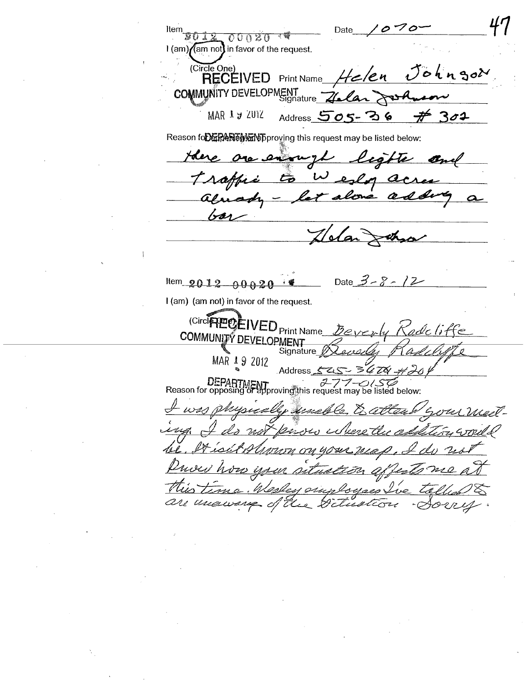$070$ Item Date  $00020$  $1$  (am)  $\sqrt{2}$  am not) in favor of the request. (Circle One)<br>RECEIVED Johngor 'e n **Print Name** COMMUNITY DEVELOPMENT rs-A MAR 1 y ZUIZ  $#301$ Address  $505 - 36$ Reason for the state of this request may be listed below: one enough lights and Here. Wesley acres Troffic  $\frac{c}{\sqrt{2}}$ alone adding alusoh - $\alpha$ bar dan  $\Join$ Date  $3 - 8 - 12$ Item\_2012\_00020 I (am) (am not) in favor of the request. (CircleTELLED Print Name\_ Beverly Kodel COMMUNITY DEVELOPMENT Signature MAR 19 2012 **Address** DEPARTMENT<br>Reason for opposing of approving this request may be listed below: pucally singh Cause George 2 rasti ugh  $\varrho_{i\mapsto\mathcal{H}_i}$ Fu would extleng Tr <u>тып он чоже теар</u> how your <u>astualión</u> affect This time. Wesley simployees Ive is ·Aorry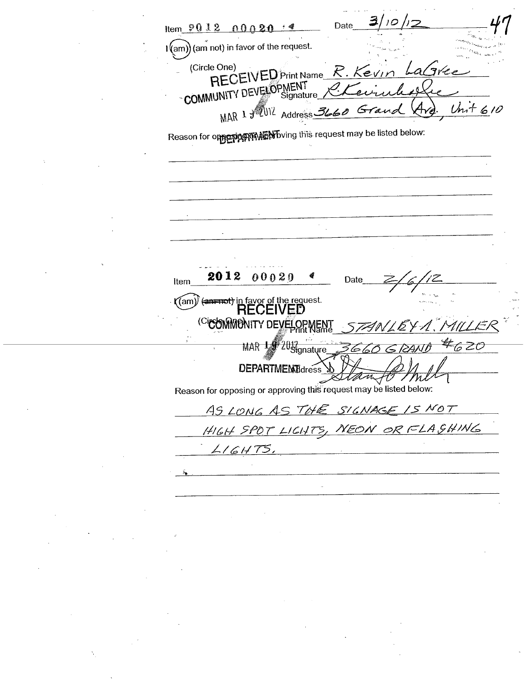Date Item  $901200020$  $\binom{1}{2}$  (am not) in favor of the request. RECEIVED Print Name R. Kevin LaGree (Circle One) COMMUNITY DEVELOPMENT MAR 1 3 2012 Address 366  $Unit610$  $4\!\!\sqrt{\varepsilon}$  $G$ ra Reason for opposing math by this request may be listed below: 2012 00020 Date Item (an endt) in favor of the request. (am) (CicOMMONITY DEVELOPMENT 1.IT / MAR 19 2012 #620 660 **DEPARTMEMBdress** amy  $m$ Reason for opposing or approving this request may be listed below: AS LONG AS THE SIGNAGE IS NOT HIGH SPOT LIGHTS, NEON OR FLASHING  $LIGHTS.$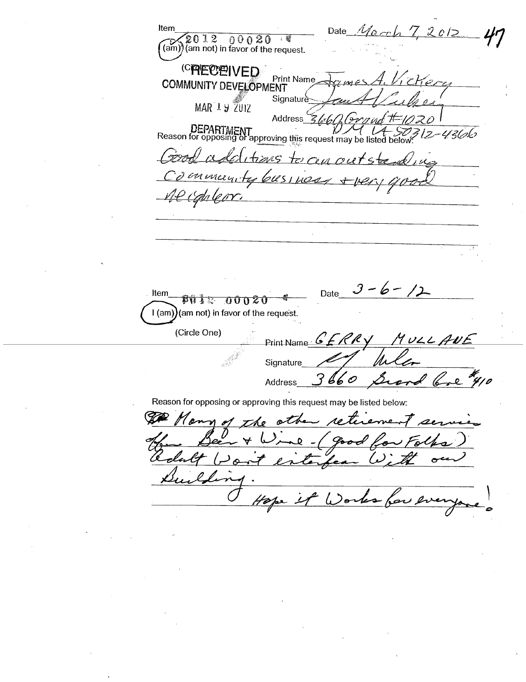Date March 7, 2012 Item  $(2012 \t 00020 \t 1)$ <br>(am) (am not) in favor of the request. (CRECEIVED **Print Name**  $c$ *Her* **COMMUNITY DEVELOPMENT** Signature **MAR 19 ZUIZ** Address ri in DEPARTMENT<br>Reason for opposing or approving this request may be listed 4366 times to cen outs קייקיי inmanity 61851 nos <u>ile canlear</u> Date  $3 - 6 - 12$ Item **हिंदा दे** इन 000Z0 (am not) in favor of the request.  $l$  (am) (Circle One) Print Name  $GFRRY$ MULLANE Signature I have  $3660$ مگر Address  $\overline{a}$ Reason for opposing or approving this request may be listed below: Mann othe 1o Xi Pood  $\bullet$ the 4 Works for en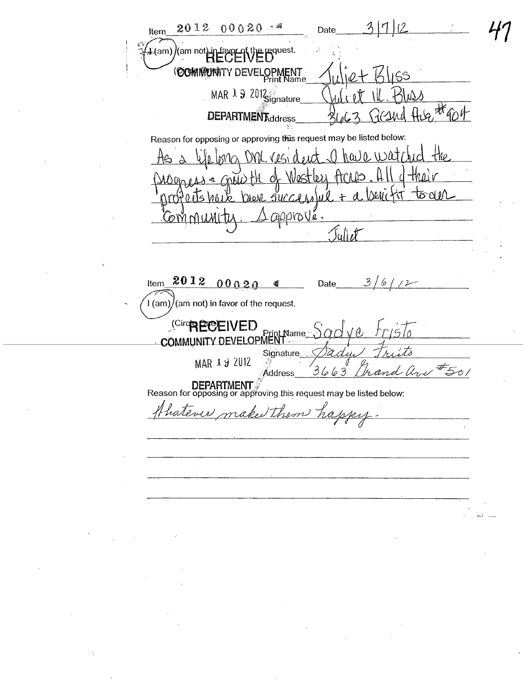$311$ 2012  $00020...$ Date Item  $\frac{1}{2}$  (am)  $\frac{1}{2}$  (am not) in favor of the request. (COMMUNITY DEVELOPMENT MAR 1 9 2012  $8.4604$ **DEPARTMENT**ddress Reason for opposing or approving this request may be listed below:  $h(a_1)0.11301$ tho . UVV ld t&এ*।*∧ Ţ١T  $0.15M$ Qire Vi SUCCIA apprové. I M I TI Juliet  $201200020$ Item Date  $3/$ 6  $\frac{d}{dt}$  $/2 \hat{A}$  (am) $\hat{A}$ (am not) in favor of the request. **Circh PCCEIVED** COMMUNITY DEVELOPMENT Signature MAR 19 2012 ,<br>36<u>6</u>  $21/750/$  $\mathcal{P}$ **Address DEPARTMENT**<br>Reason for opposing or approving this request may be listed below: hatever make them happy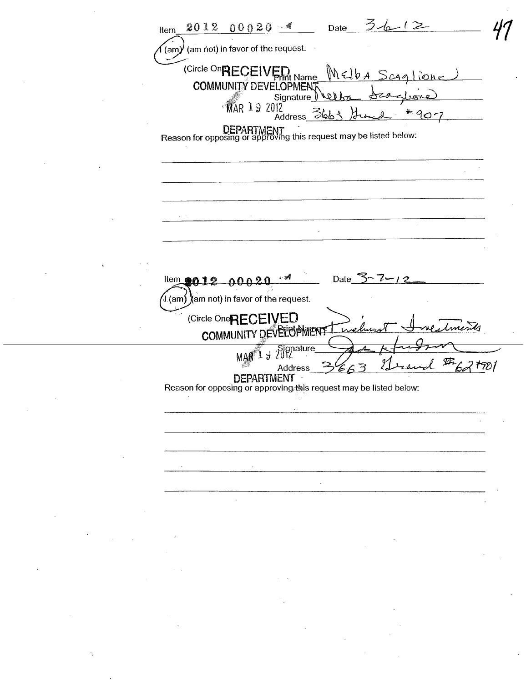$Date_3/6/2$  $20120020$ Item ั(am)∕ี (am not) in favor of the request. (Circle On RECEIVED Name Melba <u>Scaglione</u> **COMMUNITY DEVELOPMENT** Signature بهها لأهلا MAR 19 2012  $407$ **Address** Əblo DEPARTMENT<br>Reason for opposing or approving this request may be listed below: Date  $3 - 7 - 12$ Item **en12** 00020  $\lambda$  (am $\lambda$  ) (am not) in favor of the request. (Circle One<sub>RECEIVED</sub> COMMUNITY DEVELOPMENT MAR<sup>1</sup> J 2012 Ø 621901 **Address DEPARTMENT** Reason for opposing or approving this request may be listed below: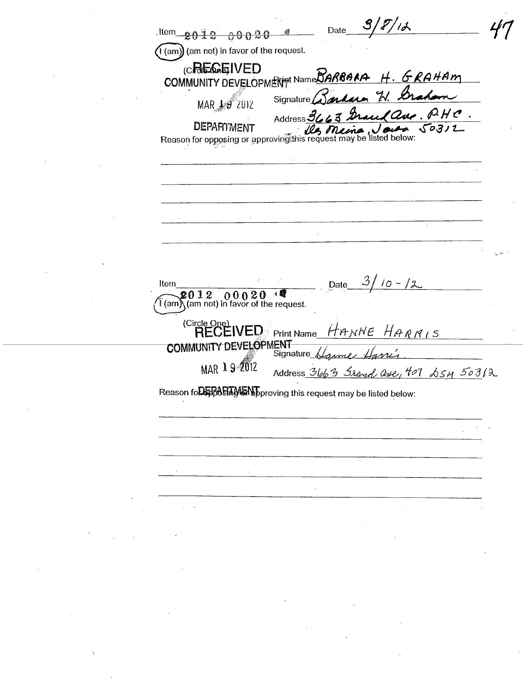$^{\prime}$ 12 Date  $1$ ltem  $2012 00020$  $\big($ l (am) $\big)$  (am not) in favor of the request. **CREGEIVED** COMMUNITY DEVELOPMENT Name BARBARA H. GRAHAM erdera W. Graham Signature MAR 19 ZUIZ 63 Grand aux  $\mathscr{P}$ . H  $\mathscr{C}$  . Address 34 **DEPARTMENT** DEMHIMENT Reason for opposing or approving this request may be listed below: נדים  $\mathcal{Z}$  $10 - 12$ Date Item  $2012 00020$  is a leader of the request. (Circle One)<br>
RECEIVED Print Name HANNE HARRIS COMMUNITY DEVELOPMENT Harrís MAR 19-2012 Address 3663 Srand are, 407  $65M$  50312 Reason fo**DERASTMENT** proving this request may be listed below: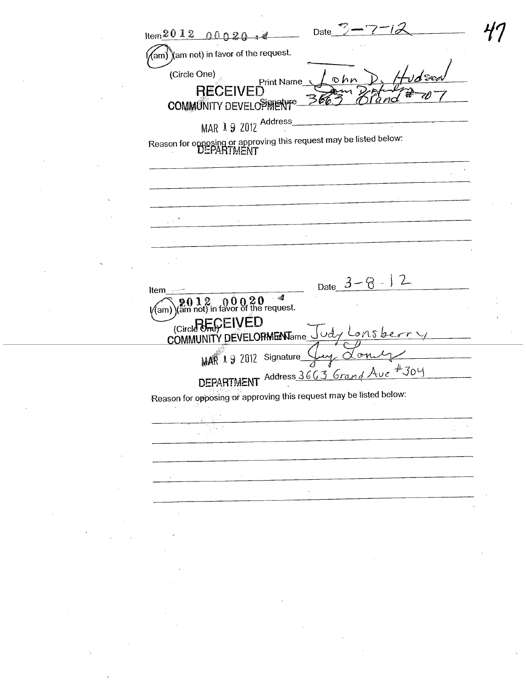Date  $Item 2012 00020$  $\widetilde{\mathcal{A}}$ am $\widetilde{\mathcal{A}}$ am not) in favor of the request. (Circle One) **Print Name RECEIVED** COMMUNITY DEVELOPMENT<sup>e</sup> MAR 19 2012 Address Reason for opposing or approving this request may be listed below:<br>
UEPARTMENT Date  $3 - \mathcal{B}$  $12$ Item  $\frac{9012}{\frac{1}{200}}\,\substack{0.0020}$  of the request. l∕(am) (Circle One) EIVED COMMUNITY DEVELORMENTame ം ons b MAR 1 9 2012 Signature  $\sigma$ n DEPARTMENT Address 3663 Grand Ave  $#304$ Reason for opposing or approving this request may be listed below: ÷.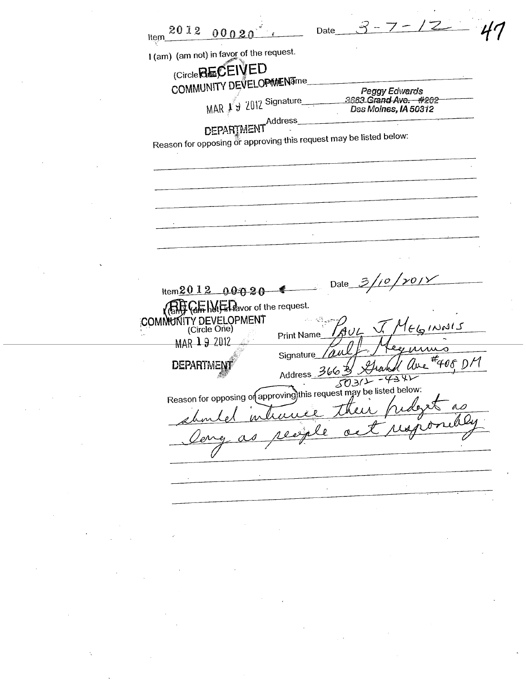$3 - 7 - 12 - 41$ Item  $201200020$  . Date I (am) (am not) in favor of the request.  $\stackrel{\text{avot}}{\sim}$ Circle**Beurle** COMMUNITY DEVELOPMENTme Peggy Edwards MAR  $\cancel{1}$   $\cancel{2}$  2012 Signature 3663 Grand Ave. #202 Des Moines, IA 50312 DEPARTMENT<br>  $r^{\rm Address}$ Reason for opposing or approving this request may be listed below. Item  $2012$  00020  $\sqrt{\text{RHS}}$   $\text{QF}$  het  $\text{H}$  hetavor of the request.  $$  $\frac{\mu\mu}{\mu}$  =  $\frac{4}{405}$  D/ **Signature DEPARTM** Address  $\frac{3668}{5031}$  -43 X Reason for opposing of approving this request may be issued as<br>about intracte their fudget as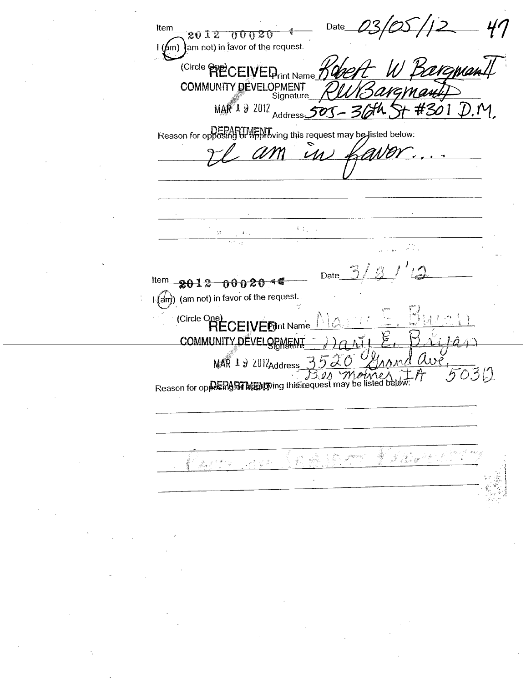Date Item 2012 00020  $\left(\right(\hspace{-2mm}\int\hspace{-2mm}f(m)\right)$  am not) in favor of the request. (Circle PRECEIVED<sub>rint Name</sub> **COMMUNITY DEVELOPMENT** Signature  $MAR$  1 9 2012  $_{\text{Address}}$  $\boldsymbol{\mathcal{F}}$ DEPARTMENT<br>Reason for opposing or approving this request may be listed below:  $\mathcal{U}$  $\mathbb{C}^{\mathbb{Z}_2}$ ķ,  $\mathbf{a}_{\mathrm{max}}$ Date Item  $2012 - 00020$ I (am) (am not) in favor of the request. (Circle One)<br>RECEI **FPint Name COMMUNITY DEVELOPMENT**  $MAR$  1  $\theta$  2012 Address  $\overline{03}0$  $\partial \Lambda$ Reason for opposite the this is a course in ay be listed below: J. Barth I. À  $\int_{\mathcal{M}_{\mathrm{eff}}}^{\mathcal{M}_{\mathrm{eff}}} \int_{\mathcal{M}} \mathcal{M}_{\mathrm{eff}}^{\mathrm{H}} \mathcal{M}_{\mathrm{eff}}^{\mathrm{H}} \mathcal{M}_{\mathrm{eff}}^{\mathrm{H}}$ 10 m  $\mathbb{R}^{n^{\frac{1}{2}}}$  $\label{eq:1} \frac{1}{\sqrt{2}}\int_{\mathbb{R}^{2n}}^{0}\frac{d\sigma}{\sigma^{2}}\,d\sigma$ Jeres 2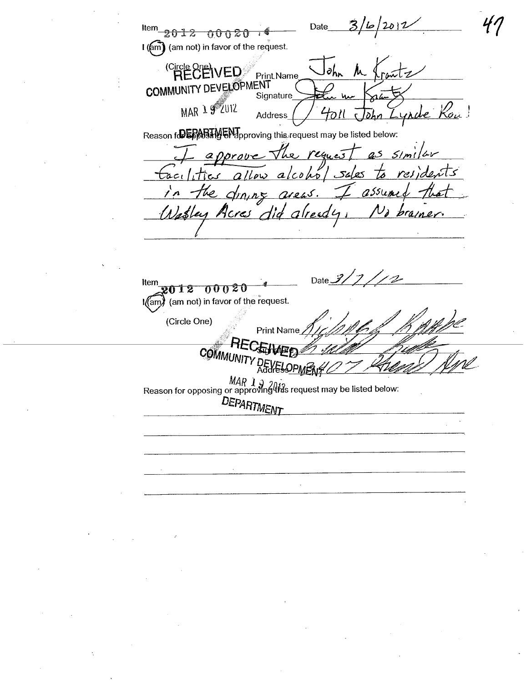2012 Date Item 2012 00020 I (am) (am not) in favor of the request. **RECEIVED**  $\partial h_{\bm{\kappa}}$ 人 **Print Name COMMUNITY DEVELOPMENT** Signature MAR 19 2012 Kou! Lynde Address lohn Reason for EPARTMENT proving this request may be listed below: approve the request as similar Eacilities allow alcohol sales ents the draing areas.  $\lambda$ assume Wasley Acres did alread praine Date  $3/7$ Item 2012 00020 I(am) (am not) in favor of the request. (Circle One) **Print Name** COMMUNITY DEVEL  $MAP \rightarrow 2013$ <br>Reason for opposing or approving this request may be listed below: DEPARTMENT